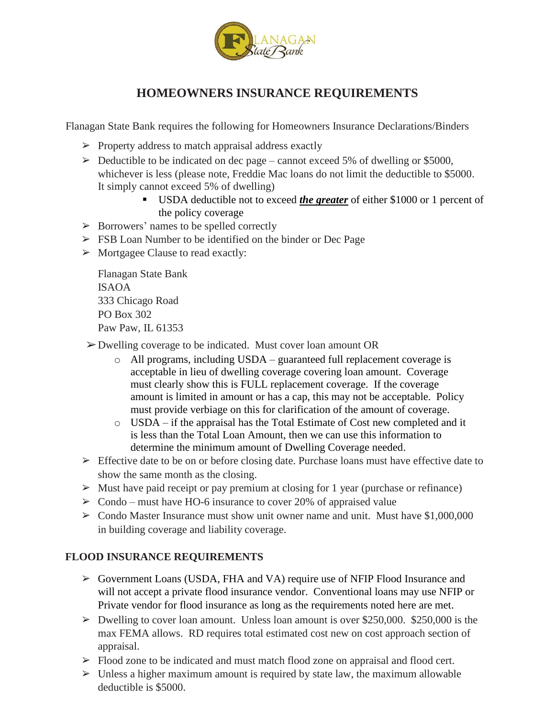

## **HOMEOWNERS INSURANCE REQUIREMENTS**

Flanagan State Bank requires the following for Homeowners Insurance Declarations/Binders

- $\triangleright$  Property address to match appraisal address exactly
- $\geq$  Deductible to be indicated on dec page cannot exceed 5% of dwelling or \$5000, whichever is less (please note, Freddie Mac loans do not limit the deductible to \$5000. It simply cannot exceed 5% of dwelling)
	- USDA deductible not to exceed *the greater* of either \$1000 or 1 percent of the policy coverage
- ➢ Borrowers' names to be spelled correctly
- ➢ FSB Loan Number to be identified on the binder or Dec Page
- ➢ Mortgagee Clause to read exactly:

Flanagan State Bank ISAOA 333 Chicago Road PO Box 302 Paw Paw, IL 61353

➢Dwelling coverage to be indicated. Must cover loan amount OR

- o All programs, including USDA guaranteed full replacement coverage is acceptable in lieu of dwelling coverage covering loan amount. Coverage must clearly show this is FULL replacement coverage. If the coverage amount is limited in amount or has a cap, this may not be acceptable. Policy must provide verbiage on this for clarification of the amount of coverage.
- o USDA if the appraisal has the Total Estimate of Cost new completed and it is less than the Total Loan Amount, then we can use this information to determine the minimum amount of Dwelling Coverage needed.
- $\triangleright$  Effective date to be on or before closing date. Purchase loans must have effective date to show the same month as the closing.
- $\triangleright$  Must have paid receipt or pay premium at closing for 1 year (purchase or refinance)
- $\geq$  Condo must have HO-6 insurance to cover 20% of appraised value
- $\geq$  Condo Master Insurance must show unit owner name and unit. Must have \$1,000,000 in building coverage and liability coverage.

## **FLOOD INSURANCE REQUIREMENTS**

- ➢ Government Loans (USDA, FHA and VA) require use of NFIP Flood Insurance and will not accept a private flood insurance vendor. Conventional loans may use NFIP or Private vendor for flood insurance as long as the requirements noted here are met.
- $\triangleright$  Dwelling to cover loan amount. Unless loan amount is over \$250,000. \$250,000 is the max FEMA allows. RD requires total estimated cost new on cost approach section of appraisal.
- ➢ Flood zone to be indicated and must match flood zone on appraisal and flood cert.
- $\triangleright$  Unless a higher maximum amount is required by state law, the maximum allowable deductible is \$5000.